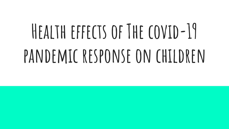# **Health effects of The covid-19 pandemic response on children**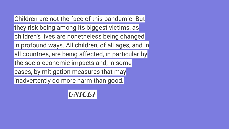Children are not the face of this pandemic. But they risk being among its biggest victims, as children's lives are nonetheless being changed in profound ways. All children, of all ages, and in all countries, are being affected, in particular by the socio-economic impacts and, in some cases, by mitigation measures that may inadvertently do more harm than good.

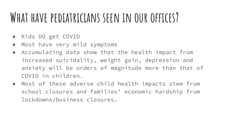### **What have pediatricians seen in our offices?**

- Kids DO get COVID
- Most have very mild symptoms
- Accumulating data show that the health impact from increased suicidality, weight gain, depression and anxiety will be orders of magnitude more than that of COVID in children.
- Most of these adverse child health impacts stem from school closures and families' economic hardship from lockdowns/business closures.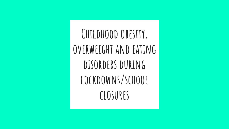**Childhood obesity, overweight and eating**  DISORDERS DURING **lockdowns/school closures**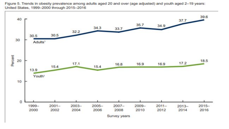

Figure 5. Trends in obesity prevalence among adults aged 20 and over (age adjusted) and youth aged 2-19 years: United States, 1999-2000 through 2015-2016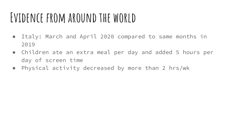### **Evidence from around the world**

- Italy: March and April 2020 compared to same months in 2019
- Children ate an extra meal per day and added 5 hours per day of screen time
- Physical activity decreased by more than 2 hrs/wk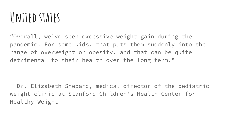### **United states**

"Overall, we've seen excessive weight gain during the pandemic. For some kids, that puts them suddenly into the range of overweight or obesity, and that can be quite detrimental to their health over the long term."

--Dr. Elizabeth Shepard, medical director of the pediatric weight clinic at Stanford Children's Health Center for Healthy Weight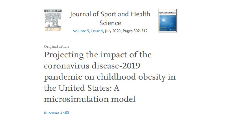

### Journal of Sport and Health Science

#### Volume 9, Issue 4, July 2020, Pages 302-312



Original article

Projecting the impact of the coronavirus disease-2019 pandemic on childhood obesity in the United States: A microsimulation model

 $D<sub>1</sub>$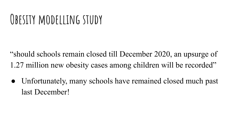### **Obesity modelling study**

"should schools remain closed till December 2020, an upsurge of 1.27 million new obesity cases among children will be recorded"

• Unfortunately, many schools have remained closed much past last December!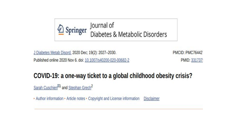

J Diabetes Metab Disord. 2020 Dec; 19(2): 2027-2030. Published online 2020 Nov 6. doi: 10.1007/s40200-020-00682-2 **PMCID: PMC76442** PMID: 331737

### COVID-19: a one-way ticket to a global childhood obesity crisis?

Sarah Cuschier<sup>201</sup> and Stephan Grech<sup>2</sup>

• Author information • Article notes • Copyright and License information Disclaimer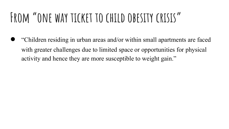### **From "one way ticket to child obesity crisis"**

● "Children residing in urban areas and/or within small apartments are faced with greater challenges due to limited space or opportunities for physical activity and hence they are more susceptible to weight gain."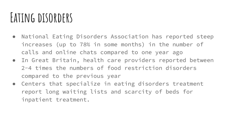### **Eating disorders**

- National Eating Disorders Association has reported steep increases (up to 78% in some months) in the number of calls and online chats compared to one year ago
- In Great Britain, health care providers reported between 2-4 times the numbers of food restriction disorders compared to the previous year
- Centers that specialize in eating disorders treatment report long waiting lists and scarcity of beds for inpatient treatment.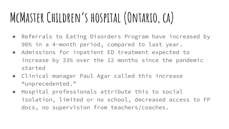# **McMaster Children's hospital (Ontario, ca)**

- Referrals to Eating Disorders Program have increased by 90% in a 4-month period, compared to last year.
- Admissions for inpatient ED treatment expected to increase by 33% over the 12 months since the pandemic started
- Clinical manager Paul Agar called this increase "unprecedented."
- Hospital professionals attribute this to social isolation, limited or no school, decreased access to FP docs, no supervision from teachers/coaches.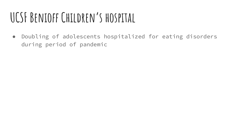# **UCSF Benioff Children's hospital**

● Doubling of adolescents hospitalized for eating disorders during period of pandemic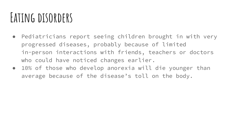### **Eating disorders**

- Pediatricians report seeing children brought in with very progressed diseases, probably because of limited in-person interactions with friends, teachers or doctors who could have noticed changes earlier.
- 10% of those who develop anorexia will die younger than average because of the disease's toll on the body.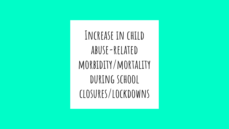**Increase in child abuse-related morbidity/mortality during school closures/lockdowns**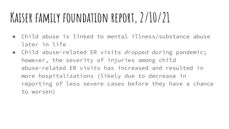### **Kaiser family foundation report, 2/10/21**

- Child abuse is linked to mental illness/substance abuse later in life
- Child abuse-related ER visits *dropped* during pandemic; however, the severity of injuries among child abuse-related ER visits has increased and resulted in more hospitalizations (likely due to decrease in reporting of less severe cases before they have a chance to worsen)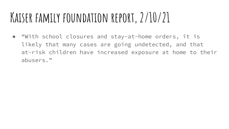### **Kaiser family foundation report, 2/10/21**

● "With school closures and stay-at-home orders, it is likely that many cases are going undetected, and that at-risk children have increased exposure at home to their abusers."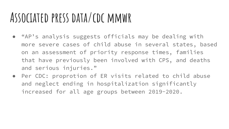### **Associated press data/cdc mmwr**

- "AP's analysis suggests officials may be dealing with more severe cases of child abuse in several states, based on an assessment of priority response times, families that have previously been involved with CPS, and deaths and serious injuries."
- Per CDC: proprotion of ER visits related to child abuse and neglect ending in hospitalization significantly increased for all age groups between 2019-2020.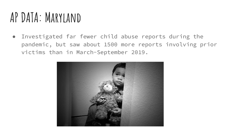### **AP DATA: Maryland**

● Investigated far fewer child abuse reports during the pandemic, but saw about 1500 more reports involving prior victims than in March-September 2019.

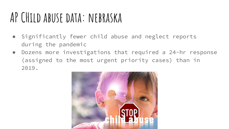### **AP CHild abuse data: nebraska**

- Significantly fewer child abuse and neglect reports during the pandemic
- Dozens more investigations that required a 24-hr response (assigned to the most urgent priority cases) than in 2019.

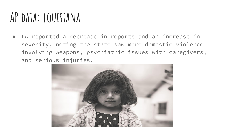### **AP data: louisiana**

● LA reported a decrease in reports and an increase in severity, noting the state saw more domestic violence involving weapons, psychiatric issues with caregivers, and serious injuries.

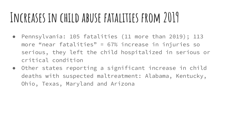### **Increases in child abuse fatalities from 2019**

- Pennsylvania: 105 fatalities (11 more than 2019); 113 more "near fatalities" = 67% increase in injuries so serious, they left the child hospitalized in serious or critical condition
- Other states reporting a significant increase in child deaths with suspected maltreatment: Alabama, Kentucky, Ohio, Texas, Maryland and Arizona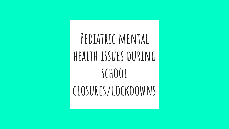**Pediatric mental health issues during school closures/lockdowns**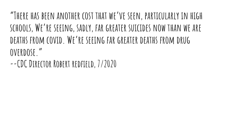**"There has been another cost that we've seen, particularly in high schools, We're seeing, sadly, far greater suicides now than we are deaths from covid. We're seeing far greater deaths from drug overdose."**

**--CDC Director Robert redfield, 7/2020**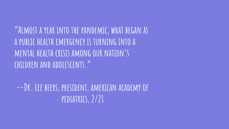**"Almost a year into the pandemic, what began as a public health emergency is turning into a mental health crisis among our nation's children and adolescents."**

**--Dr. Lee beers, president, american academy of pediatrics, 2/21**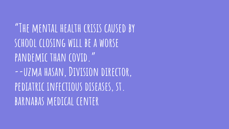**"The mental health crisis caused by school closing will be a worse pandemic than covid." --uzma hasan, Division director,**  PEDIATRIC INFECTIOUS DISEASES, ST. **barnabas medical center**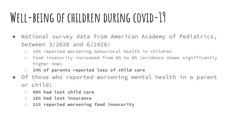### **Well-being of children during covid-19**

- National survey data from American Academy of Pediatrics, between 3/2020 and 6/2020:
	- 14% reported worsening behavioral health in children
	- Food insecurity increased from 6% to 8% (evidence shows significantly higher now)
	- **○ 24% of parents reported loss of child care**
- Of those who reported worsening mental health in a parent or child:
	- **○ 48% had lost child care**
	- **○ 16% had lost insurance**
	- **○ 11% reported worsening food insecurity**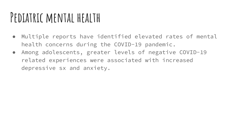### **Pediatric mental health**

- Multiple reports have identified elevated rates of mental health concerns during the COVID-19 pandemic.
- Among adolescents, greater levels of negative COVID-19 related experiences were associated with increased depressive sx and anxiety.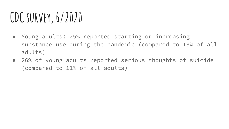### **CDC survey, 6/2020**

- Young adults: 25% reported starting or increasing substance use during the pandemic (compared to 13% of all adults)
- 26% of young adults reported serious thoughts of suicide (compared to 11% of all adults)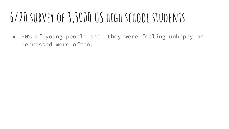# **6/20 survey of 3,3000 US high school students**

● 30% of young people said they were feeling unhappy or depressed more often.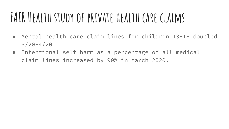### **FAIR Health study of private health care claims**

- Mental health care claim lines for children 13-18 doubled 3/20-4/20
- Intentional self-harm as a percentage of all medical claim lines increased by 90% in March 2020.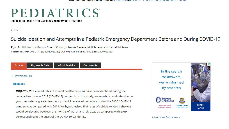### PEDIATRICS

OFFICIAL JOURNAL OF THE AMERICAN ACADEMY OF PEDIATRICS

Article

### Suicide Ideation and Attempts in a Pediatric Emergency Department Before and During COVID-19

Ryan M. Hill, Katrina Rufino, Sherin Kurian, Johanna Saxena, Kirti Saxena and Laurel Williams Pediatrics March 2021, 147 (3) e2020029280; DOI: https://doi.org/10.1542/peds.2020-029280

Comments

Article

**Figures & Data** Info & Metrics

#### **Download PDF**

#### **Abstract**

**OBJECTIVES:** Elevated rates of mental health concerns have been identified during the coronavirus disease 2019 (COVID-19) pandemic. In this study, we sought to evaluate whether youth reported a greater frequency of suicide-related behaviors during the 2020 COVID-19 pandemic as compared with 2019. We hypothesized that rates of suicide-related behaviors would be elevated between the months of March and July 2020 as compared with 2019, corresponding to the onset of the COVID-19 pandemic.



#### Advertising Disclaimer »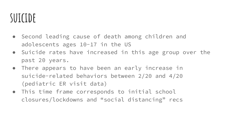### **suicide**

- Second leading cause of death among children and adolescents ages 10-17 in the US
- Suicide rates have increased in this age group over the past 20 years.
- There appears to have been an early increase in suicide-related behaviors between 2/20 and 4/20 (pediatric ER visit data)
- This time frame corresponds to initial school closures/lockdowns and "social distancing" recs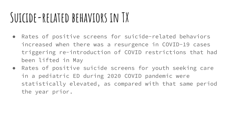### **Suicide-related behaviors in TX**

- Rates of positive screens for suicide-related behaviors increased when there was a resurgence in COVID-19 cases triggering re-introduction of COVID restrictions that had been lifted in May
- Rates of positive suicide screens for youth seeking care in a pediatric ED during 2020 COVID pandemic were statistically elevated, as compared with that same period the year prior.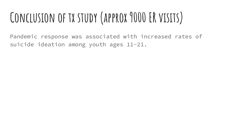# **Conclusion of tx study (approx 9000 ER visits)**

Pandemic response was associated with increased rates of suicide ideation among youth ages 11-21.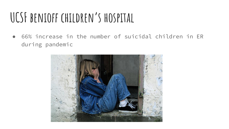### **UCSF benioff children's hospital**

● 66% increase in the number of suicidal children in ER during pandemic

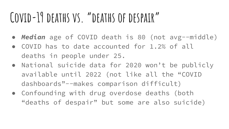### **Covid-19 deaths vs. "deaths of despair"**

- *● Median* age of COVID death is 80 (not avg--middle)
- COVID has to date accounted for 1.2% of all deaths in people under 25.
- National suicide data for 2020 won't be publicly available until 2022 (not like all the "COVID dashboards"--makes comparison difficult)
- Confounding with drug overdose deaths (both "deaths of despair" but some are also suicide)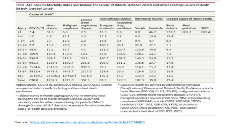Table. Age-Specific Mortality Rates (per Million) for COVID-19 (March-October 2020) and Other Leading Causes of Death (March-October 2018)<sup>a</sup>

| Age, y        | Causes of death <sup>b</sup> |                  |                        |                                            |                        |                                 |                      |          |                                 |                    |             |
|---------------|------------------------------|------------------|------------------------|--------------------------------------------|------------------------|---------------------------------|----------------------|----------|---------------------------------|--------------------|-------------|
|               | COVID-19                     | Heart<br>disease | Malignant<br>neoplasms | Chronic<br>lower<br>respiratory<br>disease | Unintentional injuries |                                 | Intentional injuries |          | Leading causes of infant deaths |                    |             |
|               |                              |                  |                        |                                            | Transport<br>accidents | Accidental<br>drug<br>overdoses | Suicide              | Homicide | Birth<br>defects                | Short<br>gestation | <b>SUID</b> |
| $\leq 1$      | 7.4                          | 51.6             | 8.6                    | 2.9                                        | 15.5                   | 1.6                             | 0.0                  | 46.7     | 773.7                           | 682.2              | 603.4       |
| $1 - 4$       | 1.0                          | 4.8              | 13.1                   | 2.0                                        | 17.5                   | 0.3                             | 0.0                  | 15.6     | 15.9                            |                    |             |
| $5 - 14$      | 1.0                          | 2.7              | 13.5                   | 2.0                                        | 14.6                   | 0.4                             | 9.4                  | 4.7      | 6.4                             |                    |             |
| $15 - 24$ 9.9 |                              | 13.8             | 20.9                   | 2.8                                        | 108.3                  | 66.1                            | 97.0                 | 72.1     | 5.5                             |                    |             |
| 25-34 38.6    |                              | 52.1             | 53.7                   | 4.2                                        | 113.2                  | 220.7                           | 120.9                | 78.8     | 6.4                             |                    |             |
|               | 35-44 109.9                  | 169.1            | 172.0                  | 10.1                                       | 93.8                   | 234.0                           | 128.1                | 54.7     | 7.2                             |                    |             |
|               | 45-54 294.8                  | 509.7            | 597.5                  | 56.1                                       | 100.7                  | 208.2                           | 140.3                | 33.9     | 11.2                            |                    |             |
|               | 55-64 683.3                  | 1239.8           | 1802.4                 | 285.8                                      | 105.0                  | 161.2                           | 139.8                | 23.7     | 17.8                            |                    |             |
|               | 65-74 1574.6                 | 2516.9           | 3702.0                 | 809.9                                      | 99.2                   | 50.8                            | 114.1                | 15.7     | 13.4                            |                    |             |
|               | 75-84 3832.4                 | 6478.5           | 6845.7                 | 2117.3                                     | 129.9                  | 16.0                            | 129.6                | 13.2     | 14.9                            |                    |             |
| 285           | 10699.7                      |                  | 24 530.2 10 442.4      | 4278.4                                     | 139.1                  | 14.7                            | 133.4                | 13.3     | 31.2                            |                    |             |
| Total         | 698.8                        | 1287.7           | 1219.8                 | 307.5                                      | 89.2                   | 122.3                           | 102.3                | 39.0     | 19.4                            |                    |             |

Abbreviations: COVID-19, coronavirus disease 2019; SUID, sudden unexpected infant death (including sudden infant death syndrome).

\* Table presents 8-month aggregate COVID-19 mortality rates during the period of March through October 2020<sup>5</sup> and mortality rates for other causes during the period of March through October 2018,<sup>4</sup> the most recent year for which detailed cause-of-death data are available.

<sup>b</sup> Causes of death are defined by International Statistical Classification of Diseases and Related Health Problems codes for heart disease (IOO-IO9, III, II3, I2O-I5I), malignant neoplasms (COO-C9), chronic lower respiratory disease (J4O-J47), transport accidents (injuries) (VO1-V99, Y85), accidental drug overdoses (X40-X44), suicide (\*U03, X60-X84, Y87.0), homicide ("UO1-"UO2, X85-YO9, Y87.1), birth defects (QOO-Q99), short gestation (POS-PO8), and sudden unexpected infant death (R95, R99, W75).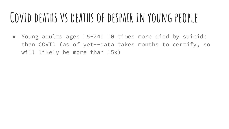### **Covid deaths vs deaths of despair in young people**

● Young adults ages 15-24: 10 times more died by suicide than COVID (as of yet--data takes months to certify, so will likely be more than 15x)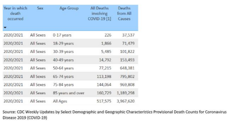| Year in which<br>death<br>occurred | Sex       | Age Group         | <b>All Deaths</b><br>involving<br>COVID-19 [1] | Deaths<br>from All<br>Causes |
|------------------------------------|-----------|-------------------|------------------------------------------------|------------------------------|
|                                    |           |                   |                                                |                              |
| 2020/2021                          | All Sexes | 0-17 years        | 226                                            | 37,537                       |
| 2020/2021                          | All Sexes | 18-29 years       | 1,866                                          | 71,479                       |
| 2020/2021                          | All Sexes | 30-39 years       | 5,485                                          | 101,822                      |
| 2020/2021                          | All Sexes | 40-49 years       | 14,792                                         | 153,493                      |
| 2020/2021                          | All Sexes | 50-64 years       | 77,215                                         | 648,381                      |
| 2020/2021                          | All Sexes | 65-74 years       | 113,198                                        | 795,802                      |
| 2020/2021                          | All Sexes | 75-84 years       | 144,064                                        | 969,808                      |
| 2020/2021                          | All Sexes | 85 years and over | 160,729                                        | 1,189,298                    |
| 2020/2021                          | All Sexes | All Ages          | 517,575                                        | 3,967,620                    |

Source: CDC Weekly Updates by Select Demographic and Geographic Characteristics Provisional Death Counts for Coronavirus Disease 2019 (COVID-19)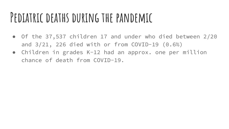### **Pediatric deaths during the pandemic**

- Of the 37,537 children 17 and under who died between 2/20 and 3/21, 226 died with or from COVID-19 (0.6%)
- Children in grades K-12 had an approx. one per million chance of death from COVID-19.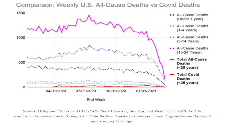

Comparison: Weekly U.S. All-Cause Deaths vs Covid Deaths

Source: Data from "Provisional COVID-19 Death Counts by Sex, Age, and Week." CDC 2020. As data s provisional it may not include complete data for the final 8 weeks (the time period with large decline on the graph) and is subject to change.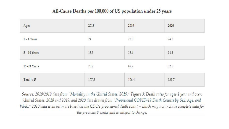### All-Cause Deaths per 100,000 of US population under 25 years

| Ages          | 2018                 | 2019                     | <b>CONSUMINAR</b><br>2020   |
|---------------|----------------------|--------------------------|-----------------------------|
| $1 - 4$ Years | 2040<br>24           | 42005<br>23.3            | <b>DAYS A PARTS</b><br>24.3 |
| 5-14 Years    | 13.3<br>1992-19      | 13.4                     | 14.9                        |
| 15-24 Years   | <b>STATE</b><br>70.2 | 10 G.P<br>69.7<br>266.92 | 92.5                        |
| Total < 25    | 107.5                | 106.4                    | 131.7                       |

Source: 2018/2019 data from "Mortality in the United States, 2019," Figure 3: Death rates for ages 1 year and over: United States, 2018 and 2019; and 2020 data drawn from "Provisional COVID-19 Death Counts by Sex, Age, and Week." 2020 data is an estimate based on the CDC's provisional death count – which may not include complete data for the previous 8 weeks and is subject to change.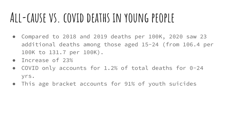### **All-cause vs. covid deaths in young people**

- Compared to 2018 and 2019 deaths per 100K, 2020 saw 23 additional deaths among those aged 15-24 (from 106.4 per 100K to 131.7 per 100K).
- Increase of 23%
- COVID only accounts for 1.2% of total deaths for 0-24 yrs.
- This age bracket accounts for 91% of youth suicides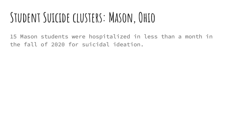### **Student Suicide clusters: Mason, Ohio**

15 Mason students were hospitalized in less than a month in the fall of 2020 for suicidal ideation.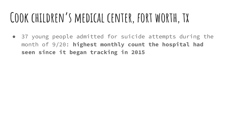### **Cook children's medical center, fort worth, tx**

● 37 young people admitted for suicide attempts during the month of 9/20: **highest monthly count the hospital had seen since it began tracking in 2015**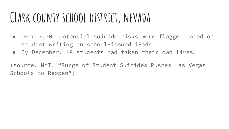### **CLark county school district, nevada**

- Over 3,100 potential suicide risks were flagged based on student writing on school-issued iPads
- By December, 18 students had taken their own lives.

(source, NYT, "Surge of Student Suicides Pushes Las Vegas Schools to Reopen")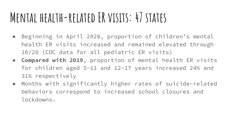### **Mental health-related ER visits: 47 states**

- Beginning in April 2020, proportion of children's mental health ER visits increased and remained elevated through 10/20 (CDC data for all pediatric ER visits)
- **Compared with 2019**, proportion of mental health ER visits for children aged 5-11 and 12-17 years increased 24% and 31% respectively
- Months with significantly higher rates of suicide-related behaviors correspond to increased school closures and lockdowns.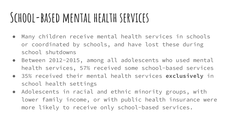### **School-based mental health services**

- Many children receive mental health services in schools or coordinated by schools, and have lost these during school shutdowns
- Between 2012-2015, among all adolescents who used mental health services, 57% received some school-based services
- 35% received their mental health services **exclusively** in school health settings
- Adolescents in racial and ethnic minority groups, with lower family income, or with public health insurance were more likely to receive only school-based services.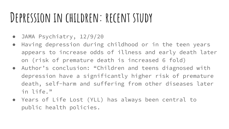### **Depression in children: recent study**

- JAMA Psychiatry, 12/9/20
- Having depression during childhood or in the teen years appears to increase odds of illness and early death later on (risk of premature death is increased 6 fold)
- Author's conclusion: "Children and teens diagnosed with depression have a significantly higher risk of premature death, self-harm and suffering from other diseases later in life."
- Years of Life Lost (YLL) has always been central to public health policies.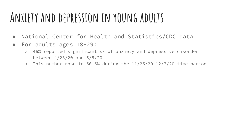### **Anxiety and depression in young adults**

- National Center for Health and Statistics/CDC data
- For adults ages 18-29:
	- 46% reported significant sx of anxiety and depressive disorder between 4/23/20 and 5/5/20
	- $\circ$  This number rose to 56.5% during the 11/25/20-12/7/20 time period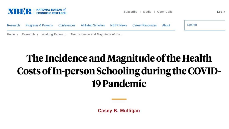

Subscribe | Media | Open Calls Login



### The Incidence and Magnitude of the Health Costs of In-person Schooling during the COVID-19 Pandemic

**Casey B. Mulligan**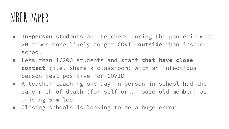### **NBER paper**

- **● In-person** students and teachers during the pandemic were 20 times more likely to get COVID **outside** than inside school
- Less than 1/200 students and staff **that have close contact** (i.e. share a classroom) with an infectious person test positive for COVID
- A teacher teaching one day in person in school had the same risk of death (for self or a household member) as driving 5 miles
- Closing schools is looking to be a huge error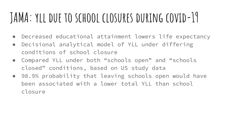### **JAMA: yll due to school closures during covid-19**

- Decreased educational attainment lowers life expectancy
- Decisional analytical model of YLL under differing conditions of school closure
- Compared YLL under both "schools open" and "schools closed" conditions, based on US study data
- 98.9% probability that leaving schools open would have been associated with a lower total YLL than school closure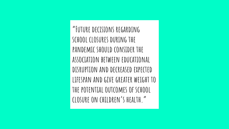**"Future decisions regarding school closures during the pandemic should consider the association between educational disruption and decreased expected lifespan and give greater weight to the potential outcomes of school closure on children's health."**